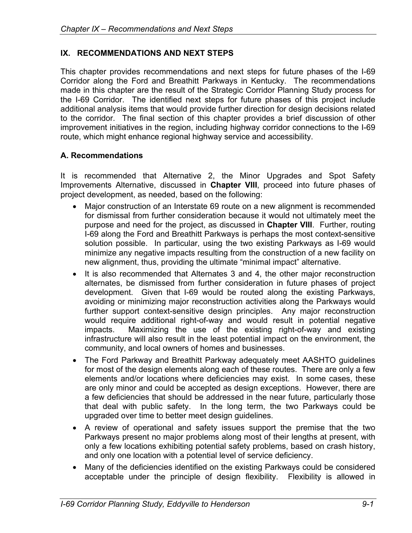## **IX. RECOMMENDATIONS AND NEXT STEPS**

This chapter provides recommendations and next steps for future phases of the I-69 Corridor along the Ford and Breathitt Parkways in Kentucky. The recommendations made in this chapter are the result of the Strategic Corridor Planning Study process for the I-69 Corridor. The identified next steps for future phases of this project include additional analysis items that would provide further direction for design decisions related to the corridor. The final section of this chapter provides a brief discussion of other improvement initiatives in the region, including highway corridor connections to the I-69 route, which might enhance regional highway service and accessibility.

### **A. Recommendations**

It is recommended that Alternative 2, the Minor Upgrades and Spot Safety Improvements Alternative, discussed in **Chapter VIII**, proceed into future phases of project development, as needed, based on the following:

- Major construction of an Interstate 69 route on a new alignment is recommended for dismissal from further consideration because it would not ultimately meet the purpose and need for the project, as discussed in **Chapter VIII**. Further, routing I-69 along the Ford and Breathitt Parkways is perhaps the most context-sensitive solution possible. In particular, using the two existing Parkways as I-69 would minimize any negative impacts resulting from the construction of a new facility on new alignment, thus, providing the ultimate "minimal impact" alternative.
- It is also recommended that Alternates 3 and 4, the other major reconstruction alternates, be dismissed from further consideration in future phases of project development. Given that I-69 would be routed along the existing Parkways, avoiding or minimizing major reconstruction activities along the Parkways would further support context-sensitive design principles. Any major reconstruction would require additional right-of-way and would result in potential negative impacts. Maximizing the use of the existing right-of-way and existing infrastructure will also result in the least potential impact on the environment, the community, and local owners of homes and businesses.
- The Ford Parkway and Breathitt Parkway adequately meet AASHTO guidelines for most of the design elements along each of these routes. There are only a few elements and/or locations where deficiencies may exist. In some cases, these are only minor and could be accepted as design exceptions. However, there are a few deficiencies that should be addressed in the near future, particularly those that deal with public safety. In the long term, the two Parkways could be upgraded over time to better meet design guidelines.
- A review of operational and safety issues support the premise that the two Parkways present no major problems along most of their lengths at present, with only a few locations exhibiting potential safety problems, based on crash history, and only one location with a potential level of service deficiency.
- Many of the deficiencies identified on the existing Parkways could be considered acceptable under the principle of design flexibility. Flexibility is allowed in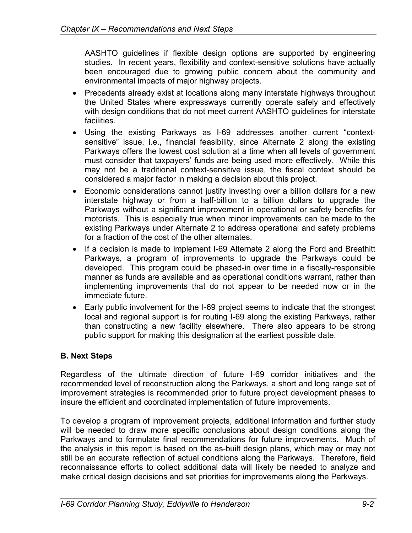AASHTO guidelines if flexible design options are supported by engineering studies. In recent years, flexibility and context-sensitive solutions have actually been encouraged due to growing public concern about the community and environmental impacts of major highway projects.

- Precedents already exist at locations along many interstate highways throughout the United States where expressways currently operate safely and effectively with design conditions that do not meet current AASHTO guidelines for interstate facilities.
- Using the existing Parkways as I-69 addresses another current "contextsensitive" issue, i.e., financial feasibility, since Alternate 2 along the existing Parkways offers the lowest cost solution at a time when all levels of government must consider that taxpayers' funds are being used more effectively. While this may not be a traditional context-sensitive issue, the fiscal context should be considered a major factor in making a decision about this project.
- Economic considerations cannot justify investing over a billion dollars for a new interstate highway or from a half-billion to a billion dollars to upgrade the Parkways without a significant improvement in operational or safety benefits for motorists. This is especially true when minor improvements can be made to the existing Parkways under Alternate 2 to address operational and safety problems for a fraction of the cost of the other alternates.
- If a decision is made to implement I-69 Alternate 2 along the Ford and Breathitt Parkways, a program of improvements to upgrade the Parkways could be developed. This program could be phased-in over time in a fiscally-responsible manner as funds are available and as operational conditions warrant, rather than implementing improvements that do not appear to be needed now or in the immediate future.
- Early public involvement for the I-69 project seems to indicate that the strongest local and regional support is for routing I-69 along the existing Parkways, rather than constructing a new facility elsewhere. There also appears to be strong public support for making this designation at the earliest possible date.

# **B. Next Steps**

Regardless of the ultimate direction of future I-69 corridor initiatives and the recommended level of reconstruction along the Parkways, a short and long range set of improvement strategies is recommended prior to future project development phases to insure the efficient and coordinated implementation of future improvements.

To develop a program of improvement projects, additional information and further study will be needed to draw more specific conclusions about design conditions along the Parkways and to formulate final recommendations for future improvements. Much of the analysis in this report is based on the as-built design plans, which may or may not still be an accurate reflection of actual conditions along the Parkways. Therefore, field reconnaissance efforts to collect additional data will likely be needed to analyze and make critical design decisions and set priorities for improvements along the Parkways.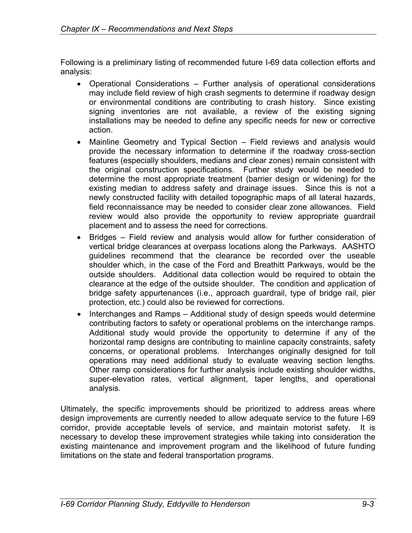Following is a preliminary listing of recommended future I-69 data collection efforts and analysis:

- Operational Considerations Further analysis of operational considerations may include field review of high crash segments to determine if roadway design or environmental conditions are contributing to crash history. Since existing signing inventories are not available, a review of the existing signing installations may be needed to define any specific needs for new or corrective action.
- Mainline Geometry and Typical Section Field reviews and analysis would provide the necessary information to determine if the roadway cross-section features (especially shoulders, medians and clear zones) remain consistent with the original construction specifications. Further study would be needed to determine the most appropriate treatment (barrier design or widening) for the existing median to address safety and drainage issues. Since this is not a newly constructed facility with detailed topographic maps of all lateral hazards, field reconnaissance may be needed to consider clear zone allowances. Field review would also provide the opportunity to review appropriate guardrail placement and to assess the need for corrections.
- Bridges Field review and analysis would allow for further consideration of vertical bridge clearances at overpass locations along the Parkways. AASHTO guidelines recommend that the clearance be recorded over the useable shoulder which, in the case of the Ford and Breathitt Parkways, would be the outside shoulders. Additional data collection would be required to obtain the clearance at the edge of the outside shoulder. The condition and application of bridge safety appurtenances (i.e., approach guardrail, type of bridge rail, pier protection, etc.) could also be reviewed for corrections.
- Interchanges and Ramps Additional study of design speeds would determine contributing factors to safety or operational problems on the interchange ramps. Additional study would provide the opportunity to determine if any of the horizontal ramp designs are contributing to mainline capacity constraints, safety concerns, or operational problems. Interchanges originally designed for toll operations may need additional study to evaluate weaving section lengths. Other ramp considerations for further analysis include existing shoulder widths, super-elevation rates, vertical alignment, taper lengths, and operational analysis.

Ultimately, the specific improvements should be prioritized to address areas where design improvements are currently needed to allow adequate service to the future I-69 corridor, provide acceptable levels of service, and maintain motorist safety. It is necessary to develop these improvement strategies while taking into consideration the existing maintenance and improvement program and the likelihood of future funding limitations on the state and federal transportation programs.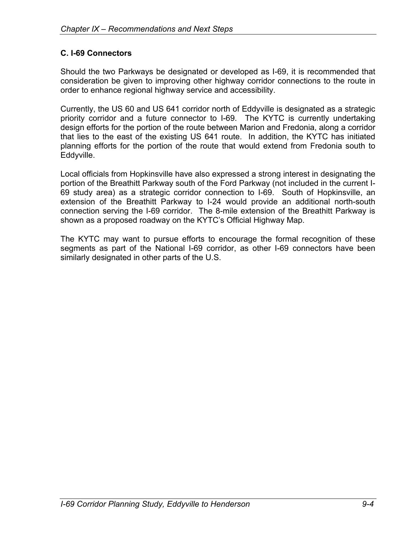# **C. I-69 Connectors**

Should the two Parkways be designated or developed as I-69, it is recommended that consideration be given to improving other highway corridor connections to the route in order to enhance regional highway service and accessibility.

Currently, the US 60 and US 641 corridor north of Eddyville is designated as a strategic priority corridor and a future connector to I-69. The KYTC is currently undertaking design efforts for the portion of the route between Marion and Fredonia, along a corridor that lies to the east of the existing US 641 route. In addition, the KYTC has initiated planning efforts for the portion of the route that would extend from Fredonia south to Eddyville.

Local officials from Hopkinsville have also expressed a strong interest in designating the portion of the Breathitt Parkway south of the Ford Parkway (not included in the current I-69 study area) as a strategic corridor connection to I-69. South of Hopkinsville, an extension of the Breathitt Parkway to I-24 would provide an additional north-south connection serving the I-69 corridor. The 8-mile extension of the Breathitt Parkway is shown as a proposed roadway on the KYTC's Official Highway Map.

The KYTC may want to pursue efforts to encourage the formal recognition of these segments as part of the National I-69 corridor, as other I-69 connectors have been similarly designated in other parts of the U.S.